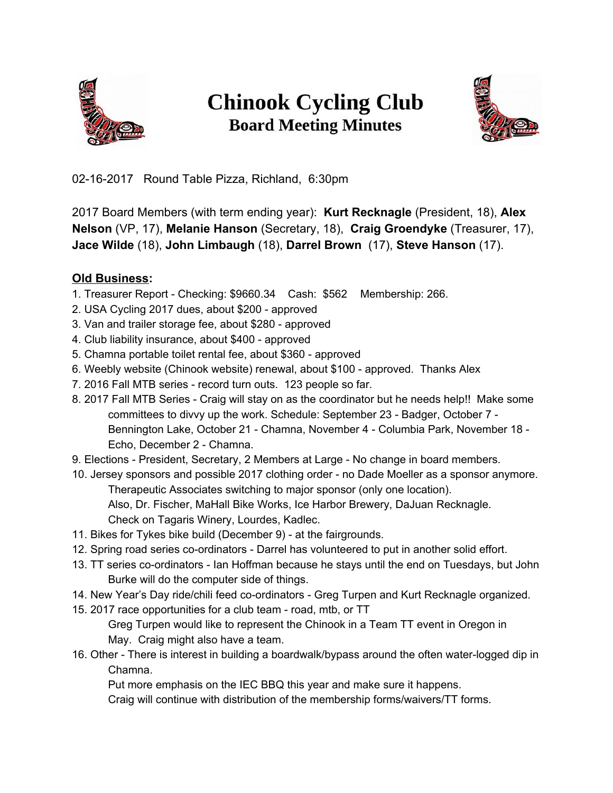

## **Chinook Cycling Club Board Meeting Minutes**



02-16-2017 Round Table Pizza, Richland, 6:30pm

2017 Board Members (with term ending year): **Kurt Recknagle** (President, 18), **Alex Nelson** (VP, 17), **Melanie Hanson** (Secretary, 18), **Craig Groendyke** (Treasurer, 17), **Jace Wilde** (18), **John Limbaugh** (18), **Darrel Brown** (17), **Steve Hanson** (17).

## **Old Business:**

- 1. Treasurer Report Checking: \$9660.34 Cash: \$562 Membership: 266.
- 2. USA Cycling 2017 dues, about \$200 approved
- 3. Van and trailer storage fee, about \$280 approved
- 4. Club liability insurance, about \$400 approved
- 5. Chamna portable toilet rental fee, about \$360 approved
- 6. Weebly website (Chinook website) renewal, about \$100 approved. Thanks Alex
- 7. 2016 Fall MTB series record turn outs. 123 people so far.
- 8. 2017 Fall MTB Series Craig will stay on as the coordinator but he needs help!! Make some committees to divvy up the work. Schedule: September 23 - Badger, October 7 - Bennington Lake, October 21 - Chamna, November 4 - Columbia Park, November 18 - Echo, December 2 - Chamna.

9. Elections - President, Secretary, 2 Members at Large - No change in board members.

10. Jersey sponsors and possible 2017 clothing order - no Dade Moeller as a sponsor anymore. Therapeutic Associates switching to major sponsor (only one location).

Also, Dr. Fischer, MaHall Bike Works, Ice Harbor Brewery, DaJuan Recknagle. Check on Tagaris Winery, Lourdes, Kadlec.

- 11. Bikes for Tykes bike build (December 9) at the fairgrounds.
- 12. Spring road series co-ordinators Darrel has volunteered to put in another solid effort.
- 13. TT series co-ordinators Ian Hoffman because he stays until the end on Tuesdays, but John Burke will do the computer side of things.
- 14. New Year's Day ride/chili feed co-ordinators Greg Turpen and Kurt Recknagle organized.
- 15. 2017 race opportunities for a club team road, mtb, or TT
	- Greg Turpen would like to represent the Chinook in a Team TT event in Oregon in May. Craig might also have a team.
- 16. Other There is interest in building a boardwalk/bypass around the often water-logged dip in Chamna.

Put more emphasis on the IEC BBQ this year and make sure it happens.

Craig will continue with distribution of the membership forms/waivers/TT forms.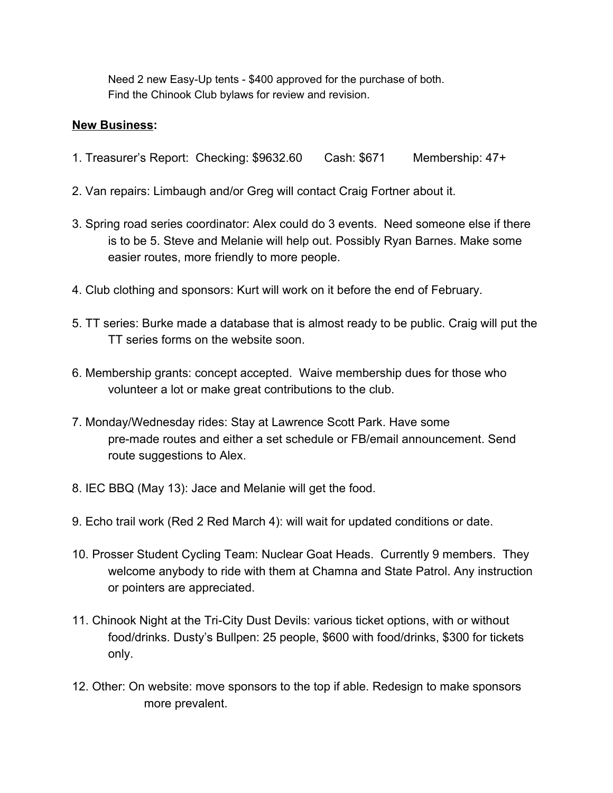Need 2 new Easy-Up tents - \$400 approved for the purchase of both. Find the Chinook Club bylaws for review and revision.

## **New Business:**

- 1. Treasurer's Report: Checking: \$9632.60 Cash: \$671 Membership: 47+
- 2. Van repairs: Limbaugh and/or Greg will contact Craig Fortner about it.
- 3. Spring road series coordinator: Alex could do 3 events. Need someone else if there is to be 5. Steve and Melanie will help out. Possibly Ryan Barnes. Make some easier routes, more friendly to more people.
- 4. Club clothing and sponsors: Kurt will work on it before the end of February.
- 5. TT series: Burke made a database that is almost ready to be public. Craig will put the TT series forms on the website soon.
- 6. Membership grants: concept accepted. Waive membership dues for those who volunteer a lot or make great contributions to the club.
- 7. Monday/Wednesday rides: Stay at Lawrence Scott Park. Have some pre-made routes and either a set schedule or FB/email announcement. Send route suggestions to Alex.
- 8. IEC BBQ (May 13): Jace and Melanie will get the food.
- 9. Echo trail work (Red 2 Red March 4): will wait for updated conditions or date.
- 10. Prosser Student Cycling Team: Nuclear Goat Heads. Currently 9 members. They welcome anybody to ride with them at Chamna and State Patrol. Any instruction or pointers are appreciated.
- 11. Chinook Night at the Tri-City Dust Devils: various ticket options, with or without food/drinks. Dusty's Bullpen: 25 people, \$600 with food/drinks, \$300 for tickets only.
- 12. Other: On website: move sponsors to the top if able. Redesign to make sponsors more prevalent.